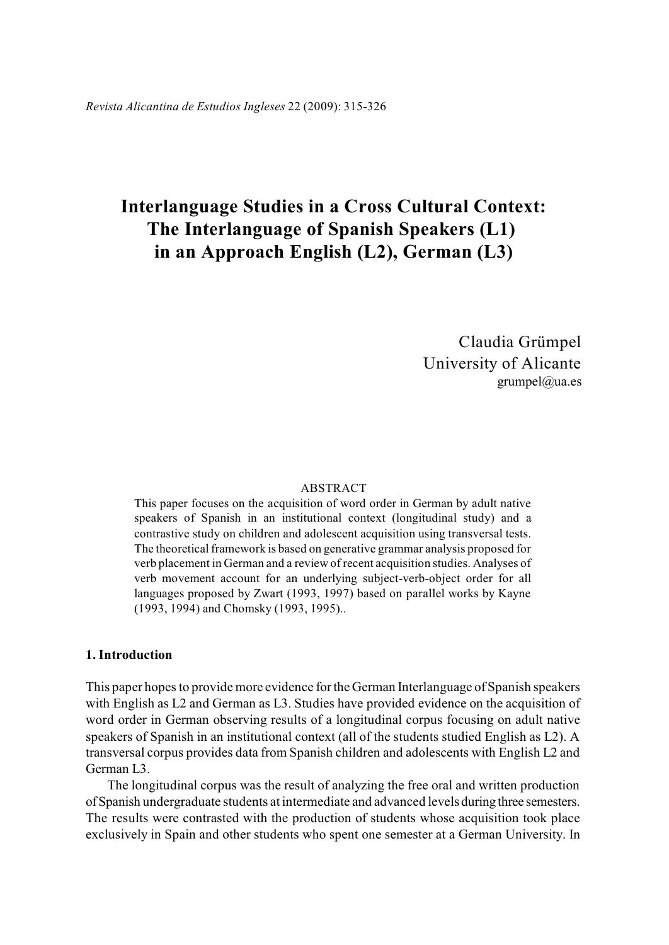# **Interlanguage Studies in a Cross Cultural Context: The Interlanguage of Spanish Speakers (L1) in an Approach English (L2), German (L3)**

Claudia Grümpel University of Alicante grumpel@ua.es

#### ABSTRACT

This paper focuses on the acquisition of word order in German by adult native speakers of Spanish in an institutional context (longitudinal study) and a contrastive study on children and adolescent acquisition using transversal tests. The theoretical framework is based on generative grammar analysis proposed for verb placement in German and a review of recent acquisition studies. Analyses of verb movement account for an underlying subject-verb-object order for all languages proposed by Zwart (1993, 1997) based on parallel works by Kayne (1993, 1994) and Chomsky (1993, 1995)..

#### **1. Introduction**

This paper hopes to provide more evidence for the German Interlanguage of Spanish speakers with English as L2 and German as L3. Studies have provided evidence on the acquisition of word order in German observing results of a longitudinal corpus focusing on adult native speakers of Spanish in an institutional context (all of the students studied English as L2). A transversal corpus provides data from Spanish children and adolescents with English L2 and German L3.

The longitudinal corpus was the result of analyzing the free oral and written production of Spanish undergraduate students at intermediate and advanced levels during three semesters. The results were contrasted with the production of students whose acquisition took place exclusively in Spain and other students who spent one semester at a German University. In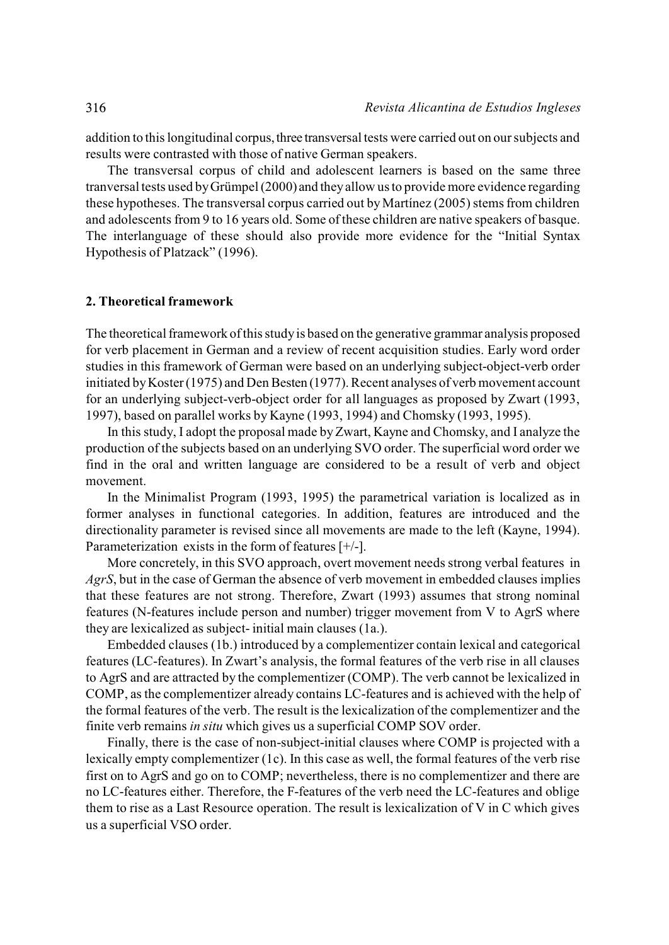addition to this longitudinal corpus, three transversal tests were carried out on our subjects and results were contrasted with those of native German speakers.

The transversal corpus of child and adolescent learners is based on the same three tranversal tests used by Grümpel (2000) and they allow us to provide more evidence regarding these hypotheses. The transversal corpus carried out by Martínez (2005) stems from children and adolescents from 9 to 16 years old. Some of these children are native speakers of basque. The interlanguage of these should also provide more evidence for the "Initial Syntax Hypothesis of Platzack" (1996).

#### **2. Theoretical framework**

The theoretical framework of this study is based on the generative grammar analysis proposed for verb placement in German and a review of recent acquisition studies. Early word order studies in this framework of German were based on an underlying subject-object-verb order initiated by Koster (1975) and Den Besten (1977). Recent analyses of verb movement account for an underlying subject-verb-object order for all languages as proposed by Zwart (1993, 1997), based on parallel works by Kayne (1993, 1994) and Chomsky (1993, 1995).

In this study, I adopt the proposal made by Zwart, Kayne and Chomsky, and I analyze the production of the subjects based on an underlying SVO order. The superficial word order we find in the oral and written language are considered to be a result of verb and object movement.

In the Minimalist Program (1993, 1995) the parametrical variation is localized as in former analyses in functional categories. In addition, features are introduced and the directionality parameter is revised since all movements are made to the left (Kayne, 1994). Parameterization exists in the form of features [+/-].

More concretely, in this SVO approach, overt movement needs strong verbal features in *AgrS*, but in the case of German the absence of verb movement in embedded clauses implies that these features are not strong. Therefore, Zwart (1993) assumes that strong nominal features (N-features include person and number) trigger movement from V to AgrS where they are lexicalized as subject- initial main clauses (1a.).

Embedded clauses (1b.) introduced by a complementizer contain lexical and categorical features (LC-features). In Zwart's analysis, the formal features of the verb rise in all clauses to AgrS and are attracted by the complementizer (COMP). The verb cannot be lexicalized in COMP, as the complementizer already contains LC-features and is achieved with the help of the formal features of the verb. The result is the lexicalization of the complementizer and the finite verb remains *in situ* which gives us a superficial COMP SOV order.

Finally, there is the case of non-subject-initial clauses where COMP is projected with a lexically empty complementizer (1c). In this case as well, the formal features of the verb rise first on to AgrS and go on to COMP; nevertheless, there is no complementizer and there are no LC-features either. Therefore, the F-features of the verb need the LC-features and oblige them to rise as a Last Resource operation. The result is lexicalization of V in C which gives us a superficial VSO order.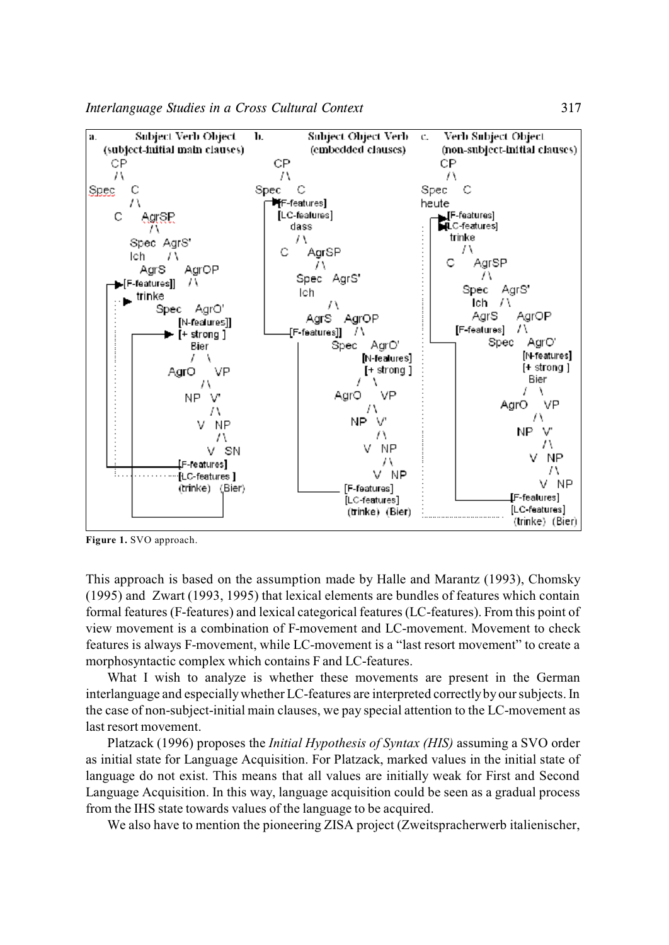*Interlanguage Studies in a Cross Cultural Context* 317



**Figure 1.** SVO approach.

This approach is based on the assumption made by Halle and Marantz (1993), Chomsky (1995) and Zwart (1993, 1995) that lexical elements are bundles of features which contain formal features (F-features) and lexical categorical features(LC-features). From this point of view movement is a combination of F-movement and LC-movement. Movement to check features is always F-movement, while LC-movement is a "last resort movement" to create a morphosyntactic complex which contains F and LC-features.

What I wish to analyze is whether these movements are present in the German interlanguage and especially whether LC-features are interpreted correctlyby our subjects. In the case of non-subject-initial main clauses, we pay special attention to the LC-movement as last resort movement.

Platzack (1996) proposes the *Initial Hypothesis of Syntax (HIS)* assuming a SVO order as initial state for Language Acquisition. For Platzack, marked values in the initial state of language do not exist. This means that all values are initially weak for First and Second Language Acquisition. In this way, language acquisition could be seen as a gradual process from the IHS state towards values of the language to be acquired.

We also have to mention the pioneering ZISA project (Zweitspracherwerb italienischer,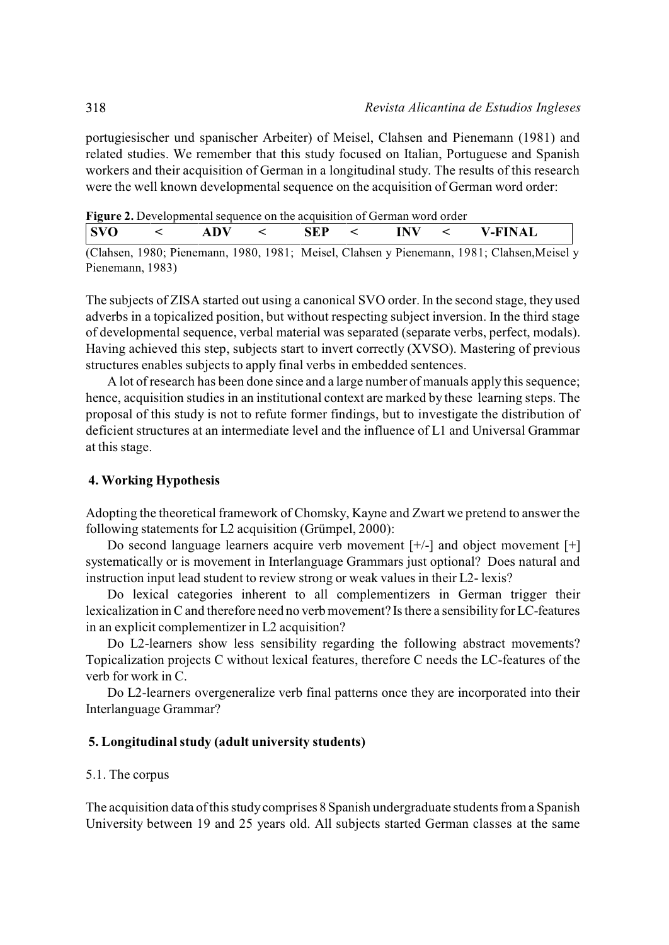portugiesischer und spanischer Arbeiter) of Meisel, Clahsen and Pienemann (1981) and related studies. We remember that this study focused on Italian, Portuguese and Spanish workers and their acquisition of German in a longitudinal study. The results of this research were the well known developmental sequence on the acquisition of German word order:

| <b>Figure 2.</b> Developmental sequence on the acquisition of German word order |  |
|---------------------------------------------------------------------------------|--|
|---------------------------------------------------------------------------------|--|

| <b>SVO</b> | <b>ADV</b> | <b>SEP</b> | INV | <b>V-FINAL</b> |
|------------|------------|------------|-----|----------------|
|            |            |            |     |                |

(Clahsen, 1980; Pienemann, 1980, 1981; Meisel, Clahsen y Pienemann, 1981; Clahsen,Meisel y Pienemann, 1983)

The subjects of ZISA started out using a canonical SVO order. In the second stage, they used adverbs in a topicalized position, but without respecting subject inversion. In the third stage of developmental sequence, verbal material was separated (separate verbs, perfect, modals). Having achieved this step, subjects start to invert correctly (XVSO). Mastering of previous structures enables subjects to apply final verbs in embedded sentences.

A lot of research has been done since and a large number of manuals apply this sequence; hence, acquisition studies in an institutional context are marked by these learning steps. The proposal of this study is not to refute former findings, but to investigate the distribution of deficient structures at an intermediate level and the influence of L1 and Universal Grammar at this stage.

## **4. Working Hypothesis**

Adopting the theoretical framework of Chomsky, Kayne and Zwart we pretend to answer the following statements for L2 acquisition (Grümpel, 2000):

Do second language learners acquire verb movement [+/-] and object movement [+] systematically or is movement in Interlanguage Grammars just optional? Does natural and instruction input lead student to review strong or weak values in their L2- lexis?

Do lexical categories inherent to all complementizers in German trigger their lexicalization in C and therefore need no verb movement? Is there a sensibility for LC-features in an explicit complementizer in L2 acquisition?

Do L2-learners show less sensibility regarding the following abstract movements? Topicalization projects C without lexical features, therefore C needs the LC-features of the verb for work in C.

Do L2-learners overgeneralize verb final patterns once they are incorporated into their Interlanguage Grammar?

### **5. Longitudinal study (adult university students)**

### 5.1. The corpus

The acquisition data of this study comprises 8 Spanish undergraduate students from a Spanish University between 19 and 25 years old. All subjects started German classes at the same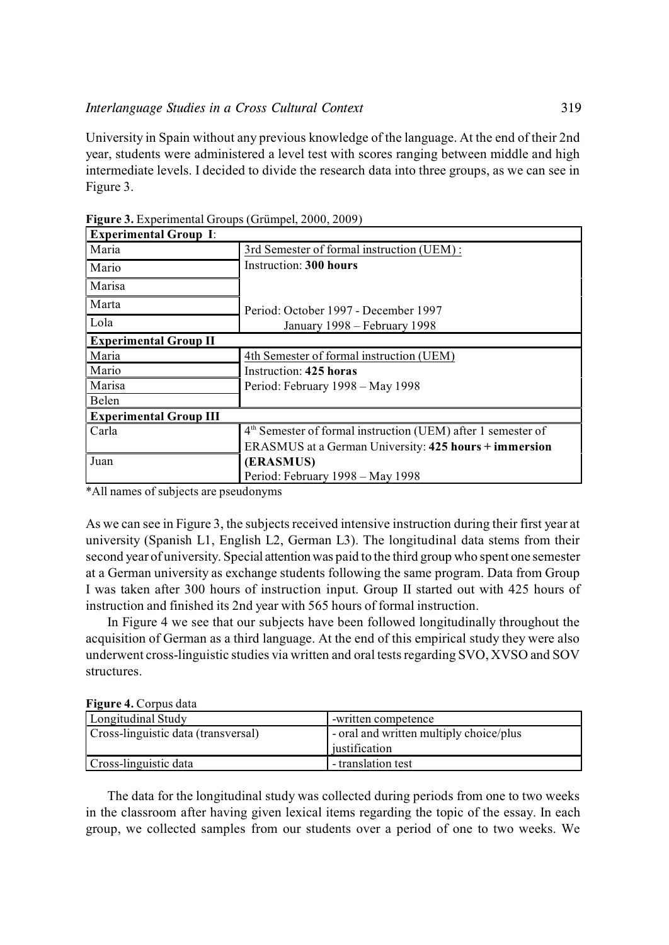University in Spain without any previous knowledge of the language. At the end of their 2nd year, students were administered a level test with scores ranging between middle and high intermediate levels. I decided to divide the research data into three groups, as we can see in Figure 3.

| <b>Experimental Group I:</b>  |                                                                          |
|-------------------------------|--------------------------------------------------------------------------|
| Maria                         | 3rd Semester of formal instruction (UEM):                                |
| Mario                         | Instruction: 300 hours                                                   |
| Marisa                        |                                                                          |
| Marta                         | Period: October 1997 - December 1997                                     |
| Lola                          | January 1998 – February 1998                                             |
| <b>Experimental Group II</b>  |                                                                          |
| Maria                         | 4th Semester of formal instruction (UEM)                                 |
| Mario                         | Instruction: 425 horas                                                   |
| Marisa                        | Period: February 1998 – May 1998                                         |
| Belen                         |                                                                          |
| <b>Experimental Group III</b> |                                                                          |
| Carla                         | 4 <sup>th</sup> Semester of formal instruction (UEM) after 1 semester of |
|                               | ERASMUS at a German University: 425 hours + immersion                    |
| Juan                          | (ERASMUS)                                                                |
|                               | Period: February 1998 – May 1998                                         |

**Figure 3.** Experimental Groups (Grümpel, 2000, 2009)

\*All names of subjects are pseudonyms

As we can see in Figure 3, the subjects received intensive instruction during their first year at university (Spanish L1, English L2, German L3). The longitudinal data stems from their second year of university. Special attention was paid to the third group who spent one semester at a German university as exchange students following the same program. Data from Group I was taken after 300 hours of instruction input. Group II started out with 425 hours of instruction and finished its 2nd year with 565 hours of formal instruction.

In Figure 4 we see that our subjects have been followed longitudinally throughout the acquisition of German as a third language. At the end of this empirical study they were also underwent cross-linguistic studies via written and oral tests regarding SVO, XVSO and SOV structures.

**Figure 4.** Corpus data

| Longitudinal Study                  | -written competence                     |  |  |
|-------------------------------------|-----------------------------------------|--|--|
| Cross-linguistic data (transversal) | - oral and written multiply choice/plus |  |  |
|                                     | iustification                           |  |  |
| Cross-linguistic data               | - translation test                      |  |  |

The data for the longitudinal study was collected during periods from one to two weeks in the classroom after having given lexical items regarding the topic of the essay. In each group, we collected samples from our students over a period of one to two weeks. We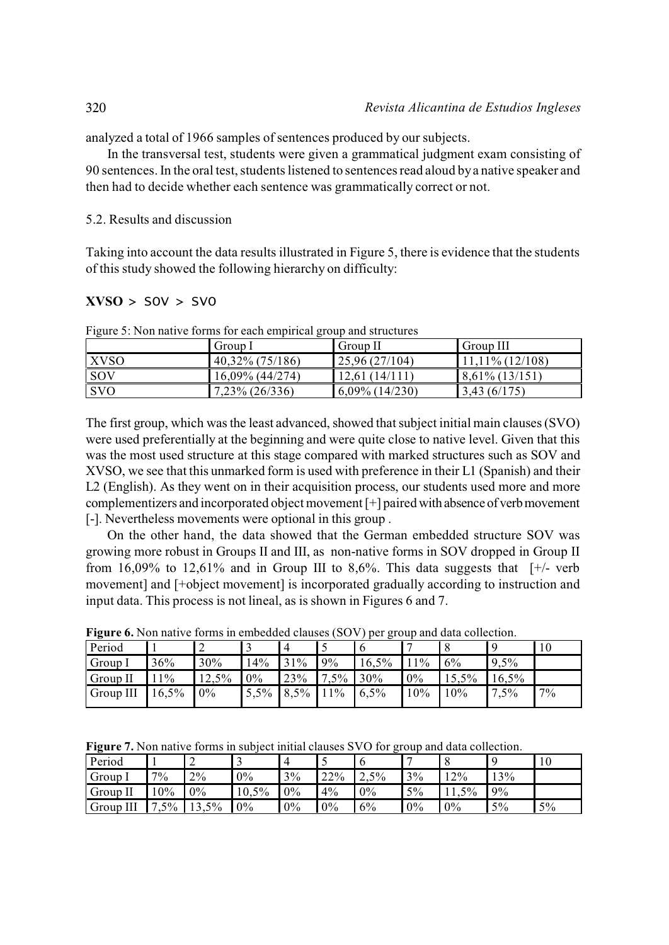analyzed a total of 1966 samples of sentences produced by our subjects.

In the transversal test, students were given a grammatical judgment exam consisting of 90 sentences. In the oral test, students listened to sentences read aloud bya native speaker and then had to decide whether each sentence was grammatically correct or not.

# 5.2. Results and discussion

Taking into account the data results illustrated in Figure 5, there is evidence that the students of this study showed the following hierarchy on difficulty:

# **XVSO** *> SOV > SVO*

|             | Group I            | Group II          | Group III          |
|-------------|--------------------|-------------------|--------------------|
| <b>XVSO</b> | $40,32\%$ (75/186) | 25,96(27/104)     | $11,11\%$ (12/108) |
| <b>SOV</b>  | $16,09\%$ (44/274) | 12,61(14/111)     | $8,61\%$ (13/151)  |
| <b>SVO</b>  | 7,23% (26/336)     | $6,09\%$ (14/230) | 3,43(6/175)        |

Figure  $5:$  Non native forms for each empirical group and structures

The first group, which was the least advanced, showed that subject initial main clauses (SVO) were used preferentially at the beginning and were quite close to native level. Given that this was the most used structure at this stage compared with marked structures such as SOV and XVSO, we see that this unmarked form is used with preference in their L1 (Spanish) and their L2 (English). As they went on in their acquisition process, our students used more and more complementizers and incorporated object movement [+] paired with absence of verb movement [-]. Nevertheless movements were optional in this group .

On the other hand, the data showed that the German embedded structure SOV was growing more robust in Groups II and III, as non-native forms in SOV dropped in Group II from 16,09% to 12,61% and in Group III to 8,6%. This data suggests that  $[+/$ - verb movement] and [+object movement] is incorporated gradually according to instruction and input data. This process is not lineal, as is shown in Figures 6 and 7.

| Period    |       |       |      |             |      |       |     |       |       | 10 |
|-----------|-------|-------|------|-------------|------|-------|-----|-------|-------|----|
| Group 1   | 36%   | 30%   | 14%  | 31%         | 9%   | 16,5% | 11% | 6%    | 9,5%  |    |
| Group II  | $1\%$ | 12,5% | 0%   | 23%         | 7,5% | 30%   | 0%  | 15,5% | 16,5% |    |
| Group III | 16,5% | 0%    | 5,5% | $8,5\%$ 11% |      | 6,5%  | 10% | 10%   | 7,5%  | 7% |

**Figure 6.** Non native forms in embedded clauses (SOV) per group and data collection.

|  |  |  | Figure 7. Non native forms in subject initial clauses SVO for group and data collection. |
|--|--|--|------------------------------------------------------------------------------------------|
|  |  |  |                                                                                          |

| Period    |        |       | ້     | 4  |     |      |    |       |     |    |
|-----------|--------|-------|-------|----|-----|------|----|-------|-----|----|
| Group I   | 7%     | 2%    | $0\%$ | 3% | 22% | 2.5% | 3% | $2\%$ | 13% |    |
| Group II  | 0%     | 0%    | 10,5% | 0% | 4%  | 0%   | 5% | 11,5% | 9%  |    |
| Group III | $,5\%$ | 13,5% | $0\%$ | 0% | 0%  | 6%   | 0% | 0%    | 5%  | 5% |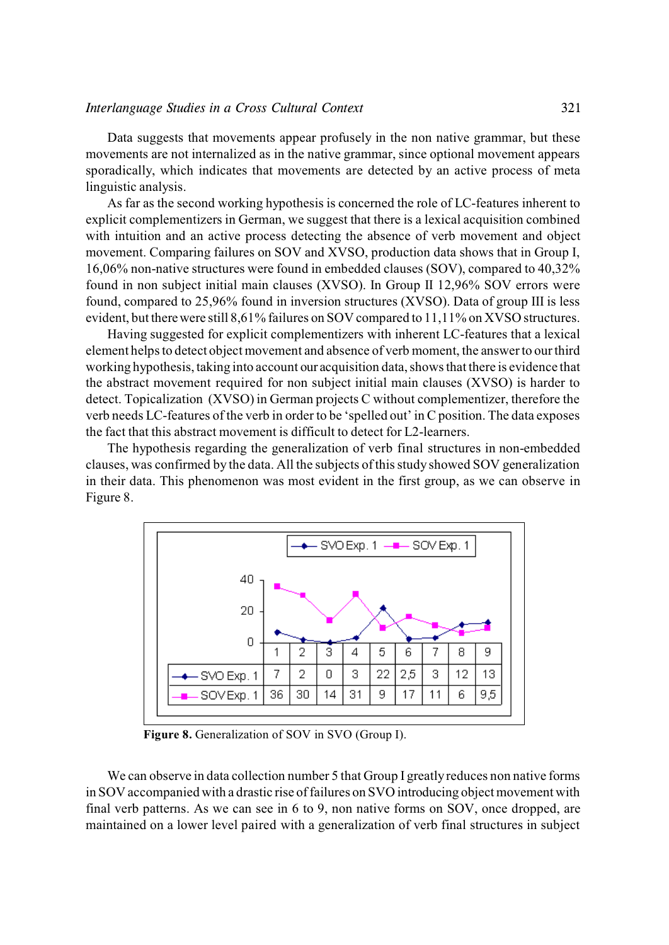#### *Interlanguage Studies in a Cross Cultural Context* 321

Data suggests that movements appear profusely in the non native grammar, but these movements are not internalized as in the native grammar, since optional movement appears sporadically, which indicates that movements are detected by an active process of meta linguistic analysis.

As far as the second working hypothesis is concerned the role of LC-features inherent to explicit complementizers in German, we suggest that there is a lexical acquisition combined with intuition and an active process detecting the absence of verb movement and object movement. Comparing failures on SOV and XVSO, production data shows that in Group I, 16,06% non-native structures were found in embedded clauses (SOV), compared to 40,32% found in non subject initial main clauses (XVSO). In Group II 12,96% SOV errors were found, compared to 25,96% found in inversion structures (XVSO). Data of group III is less evident, but there were still 8,61% failures on SOV compared to 11,11% on XVSO structures.

Having suggested for explicit complementizers with inherent LC-features that a lexical element helps to detect object movement and absence of verb moment, the answer to our third working hypothesis, taking into account our acquisition data, shows that there is evidence that the abstract movement required for non subject initial main clauses (XVSO) is harder to detect. Topicalization (XVSO) in German projects C without complementizer, therefore the verb needs LC-features of the verb in order to be 'spelled out' in C position. The data exposes the fact that this abstract movement is difficult to detect for L2-learners.

The hypothesis regarding the generalization of verb final structures in non-embedded clauses, was confirmed by the data. All the subjects of thisstudy showed SOV generalization in their data. This phenomenon was most evident in the first group, as we can observe in Figure 8.



**Figure 8.** Generalization of SOV in SVO (Group I).

We can observe in data collection number 5 that Group I greatly reduces non native forms in SOV accompanied with a drastic rise of failures on SVO introducing object movement with final verb patterns. As we can see in 6 to 9, non native forms on SOV, once dropped, are maintained on a lower level paired with a generalization of verb final structures in subject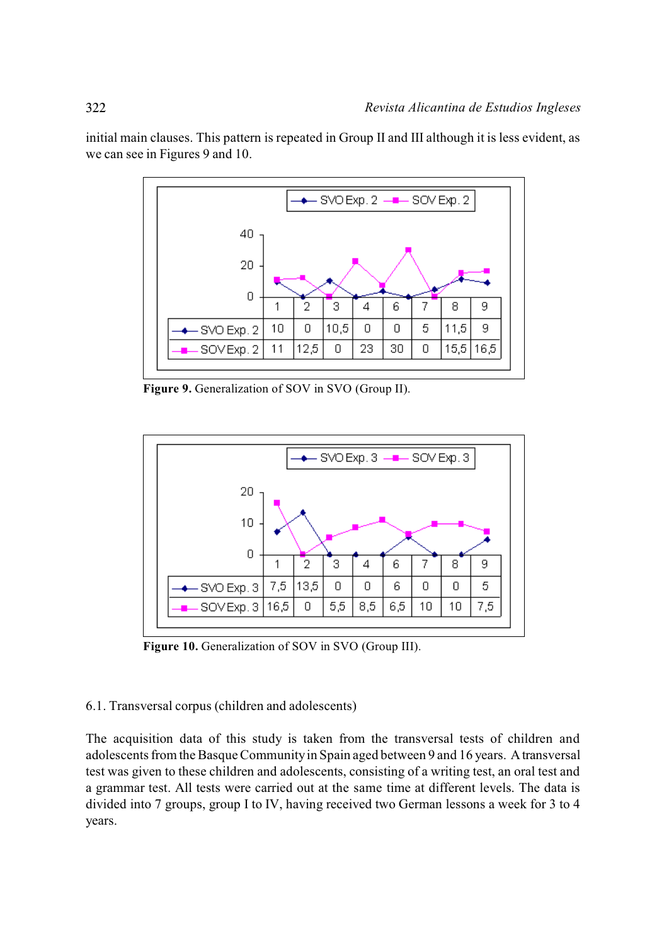

initial main clauses. This pattern is repeated in Group II and III although it is less evident, as we can see in Figures 9 and 10.

**Figure 9.** Generalization of SOV in SVO (Group II).



**Figure 10.** Generalization of SOV in SVO (Group III).

# 6.1. Transversal corpus (children and adolescents)

The acquisition data of this study is taken from the transversal tests of children and adolescents from the Basque Community in Spain aged between 9 and 16 years. A transversal test was given to these children and adolescents, consisting of a writing test, an oral test and a grammar test. All tests were carried out at the same time at different levels. The data is divided into 7 groups, group I to IV, having received two German lessons a week for 3 to 4 years.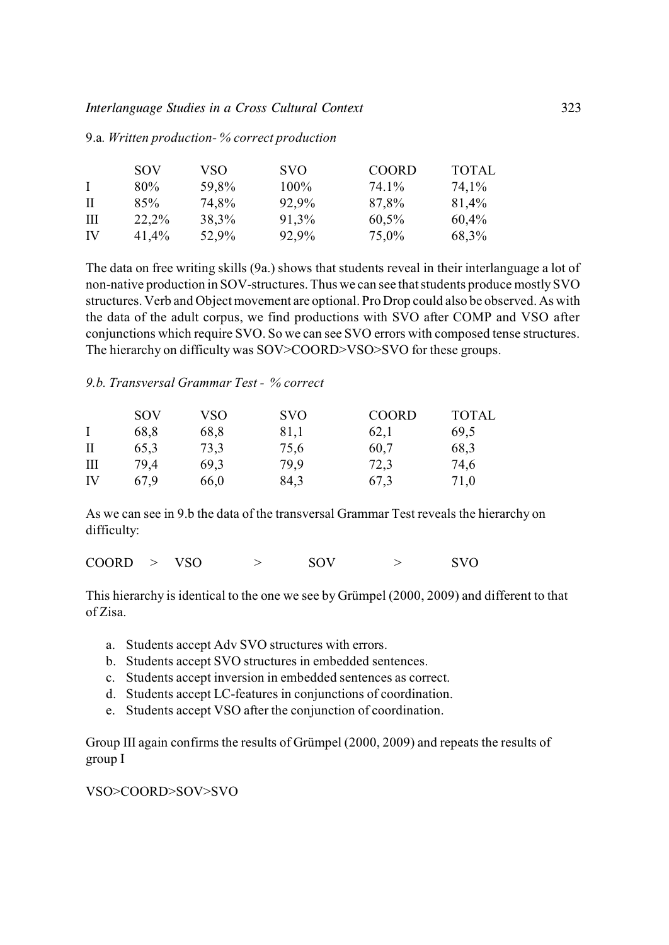### *Interlanguage Studies in a Cross Cultural Context* 323

|              | SOV   | VSO   | <b>SVO</b> | <b>COORD</b> | <b>TOTAL</b> |
|--------------|-------|-------|------------|--------------|--------------|
| $\mathbf{I}$ | 80%   | 59,8% | $100\%$    | 74.1%        | 74,1%        |
| -H           | 85%   | 74,8% | 92,9%      | 87,8%        | 81,4%        |
| Ш            | 22,2% | 38,3% | 91,3%      | 60,5%        | 60,4%        |
| IV           | 41,4% | 52,9% | 92,9%      | 75,0%        | 68,3%        |

#### 9.a*. Written production- % correct production*

The data on free writing skills (9a.) shows that students reveal in their interlanguage a lot of non-native production in SOV-structures. Thus we can see that students produce mostly SVO structures. Verb and Object movement are optional. Pro Drop could also be observed. As with the data of the adult corpus, we find productions with SVO after COMP and VSO after conjunctions which require SVO. So we can see SVO errors with composed tense structures. The hierarchy on difficulty was SOV>COORD>VSO>SVO for these groups.

# *9.b. Transversal Grammar Test - % correct*

| <b>SOV</b> | <b>VSO</b> | <b>SVO</b> | <b>COORD</b> | <b>TOTAL</b> |
|------------|------------|------------|--------------|--------------|
| 68,8       | 68,8       | 81,1       | 62,1         | 69,5         |
| 65,3       | 73,3       | 75,6       | 60,7         | 68,3         |
| 79.4       | 69,3       | 79.9       | 72,3         | 74,6         |
| 67.9       | 66,0       | 84,3       | 67,3         | 71,0         |
|            |            |            |              |              |

As we can see in 9.b the data of the transversal Grammar Test reveals the hierarchy on difficulty:

| <b>COORD</b><br>VSO |  | <b>SOV</b> |  | <b>SVO</b> |
|---------------------|--|------------|--|------------|
|---------------------|--|------------|--|------------|

This hierarchy is identical to the one we see by Grümpel (2000, 2009) and different to that of Zisa.

- a. Students accept Adv SVO structures with errors.
- b. Students accept SVO structures in embedded sentences.
- c. Students accept inversion in embedded sentences as correct.
- d. Students accept LC-features in conjunctions of coordination.
- e. Students accept VSO after the conjunction of coordination.

Group III again confirms the results of Grümpel (2000, 2009) and repeats the results of group I

# VSO>COORD>SOV>SVO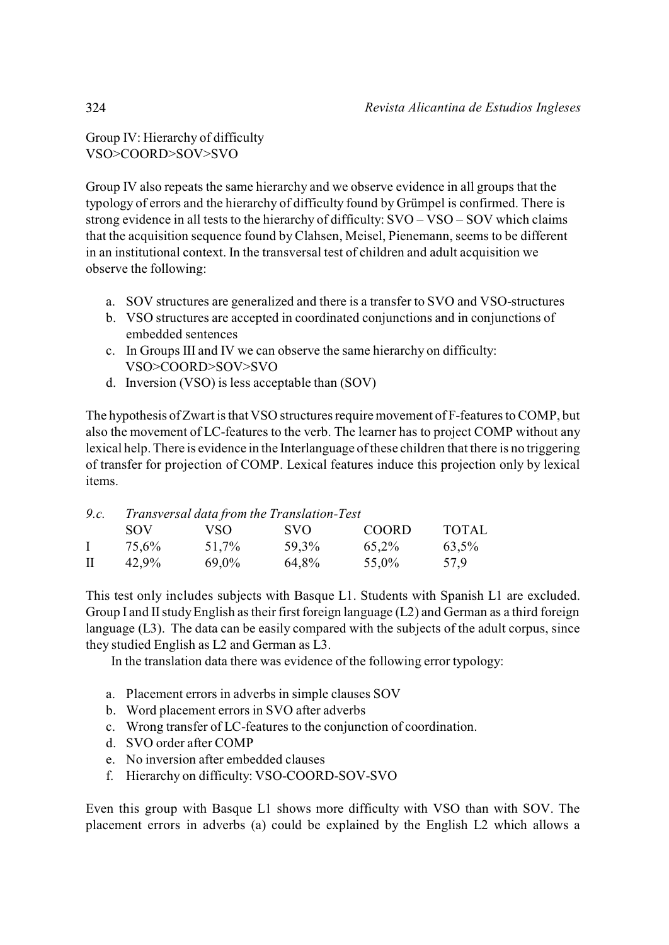Group IV: Hierarchy of difficulty VSO>COORD>SOV>SVO

Group IV also repeats the same hierarchy and we observe evidence in all groups that the typology of errors and the hierarchy of difficulty found by Grümpel is confirmed. There is strong evidence in all tests to the hierarchy of difficulty: SVO – VSO – SOV which claims that the acquisition sequence found by Clahsen, Meisel, Pienemann, seems to be different in an institutional context. In the transversal test of children and adult acquisition we observe the following:

- a. SOV structures are generalized and there is a transfer to SVO and VSO-structures
- b. VSO structures are accepted in coordinated conjunctions and in conjunctions of embedded sentences
- c. In Groups III and IV we can observe the same hierarchy on difficulty: VSO>COORD>SOV>SVO
- d. Inversion (VSO) is less acceptable than (SOV)

The hypothesis of Zwart is that VSO structures require movement of F-features to COMP, but also the movement of LC-features to the verb. The learner has to project COMP without any lexical help. There is evidence in the Interlanguage of these children that there is no triggering of transfer for projection of COMP. Lexical features induce this projection only by lexical items.

| 9.c. |       | Transversal data from the Translation-Test |       |              |              |  |  |  |  |  |  |
|------|-------|--------------------------------------------|-------|--------------|--------------|--|--|--|--|--|--|
|      | SOV   | VSO.                                       | SVO.  | <b>COORD</b> | <b>TOTAL</b> |  |  |  |  |  |  |
|      | 75,6% | 51,7%                                      | 59,3% | 65,2%        | 63,5%        |  |  |  |  |  |  |
| Л    | 42.9% | 69,0%                                      | 64,8% | 55,0%        | 57.9         |  |  |  |  |  |  |

This test only includes subjects with Basque L1. Students with Spanish L1 are excluded. Group I and II study English as their first foreign language (L2) and German as a third foreign language (L3). The data can be easily compared with the subjects of the adult corpus, since they studied English as L2 and German as L3.

In the translation data there was evidence of the following error typology:

- a. Placement errors in adverbs in simple clauses SOV
- b. Word placement errors in SVO after adverbs
- c. Wrong transfer of LC-features to the conjunction of coordination.
- d. SVO order after COMP
- e. No inversion after embedded clauses
- f. Hierarchy on difficulty: VSO-COORD-SOV-SVO

Even this group with Basque L1 shows more difficulty with VSO than with SOV. The placement errors in adverbs (a) could be explained by the English L2 which allows a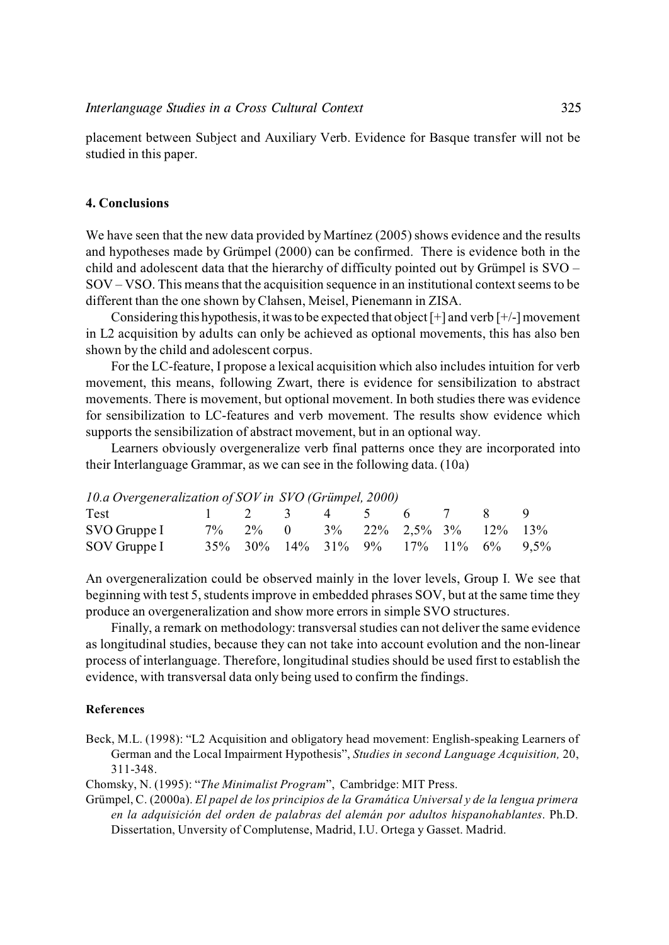placement between Subject and Auxiliary Verb. Evidence for Basque transfer will not be studied in this paper.

# **4. Conclusions**

We have seen that the new data provided by Martínez (2005) shows evidence and the results and hypotheses made by Grümpel (2000) can be confirmed. There is evidence both in the child and adolescent data that the hierarchy of difficulty pointed out by Grümpel is SVO – SOV – VSO. This means that the acquisition sequence in an institutional context seems to be different than the one shown by Clahsen, Meisel, Pienemann in ZISA.

Considering this hypothesis, it was to be expected that object  $[+]$  and verb  $[+]$ -] movement in L2 acquisition by adults can only be achieved as optional movements, this has also ben shown by the child and adolescent corpus.

For the LC-feature, I propose a lexical acquisition which also includes intuition for verb movement, this means, following Zwart, there is evidence for sensibilization to abstract movements. There is movement, but optional movement. In both studies there was evidence for sensibilization to LC-features and verb movement. The results show evidence which supports the sensibilization of abstract movement, but in an optional way.

Learners obviously overgeneralize verb final patterns once they are incorporated into their Interlanguage Grammar, as we can see in the following data. (10a)

| 10.a Overgeneralization of SOV in SVO (Grümpel, 2000) |  |  |                                             |  |  |
|-------------------------------------------------------|--|--|---------------------------------------------|--|--|
| Test<br>$1 \t2 \t3 \t4 \t5 \t6 \t7$                   |  |  |                                             |  |  |
| SVO Gruppe I                                          |  |  | $7\%$ 2\% 0 3\% 22\% 2,5\% 3\% 12\% 13\%    |  |  |
| SOV Gruppe I                                          |  |  | 35\% 30\% 14\% 31\% 9\% 17\% 11\% 6\% 9.5\% |  |  |

An overgeneralization could be observed mainly in the lover levels, Group I. We see that beginning with test 5, students improve in embedded phrases SOV, but at the same time they produce an overgeneralization and show more errors in simple SVO structures.

Finally, a remark on methodology: transversal studies can not deliver the same evidence as longitudinal studies, because they can not take into account evolution and the non-linear process of interlanguage. Therefore, longitudinal studies should be used first to establish the evidence, with transversal data only being used to confirm the findings.

### **References**

Beck, M.L. (1998): "L2 Acquisition and obligatory head movement: English-speaking Learners of German and the Local Impairment Hypothesis", *Studies in second Language Acquisition,* 20, 311-348.

Chomsky, N. (1995): "*The Minimalist Program*", Cambridge: MIT Press.

Grümpel, C. (2000a). *El papel de los principios de la Gramática Universal y de la lengua primera en la adquisición del orden de palabras del alemán por adultos hispanohablantes*. Ph.D. Dissertation, Unversity of Complutense, Madrid, I.U. Ortega y Gasset. Madrid.